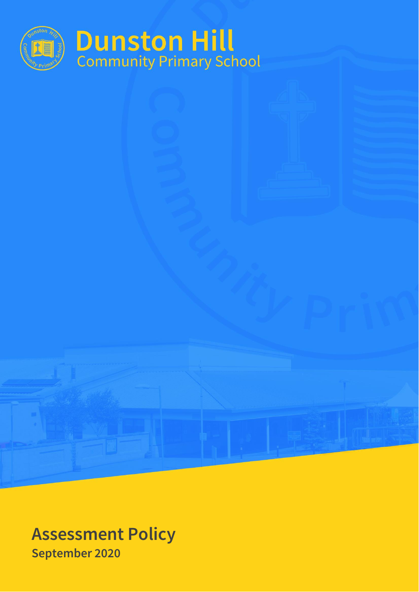

**Assessment Policy September 2020**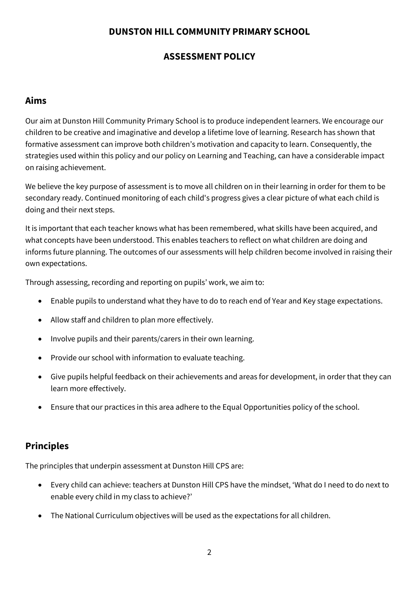### **DUNSTON HILL COMMUNITY PRIMARY SCHOOL**

## **ASSESSMENT POLICY**

## **Aims**

Our aim at Dunston Hill Community Primary School is to produce independent learners. We encourage our children to be creative and imaginative and develop a lifetime love of learning. Research has shown that formative assessment can improve both children's motivation and capacity to learn. Consequently, the strategies used within this policy and our policy on Learning and Teaching, can have a considerable impact on raising achievement.

We believe the key purpose of assessment is to move all children on in their learning in order for them to be secondary ready. Continued monitoring of each child's progress gives a clear picture of what each child is doing and their next steps.

It is important that each teacher knows what has been remembered, what skills have been acquired, and what concepts have been understood. This enables teachers to reflect on what children are doing and informs future planning. The outcomes of our assessments will help children become involved in raising their own expectations.

Through assessing, recording and reporting on pupils' work, we aim to:

- Enable pupils to understand what they have to do to reach end of Year and Key stage expectations.
- Allow staff and children to plan more effectively.
- Involve pupils and their parents/carers in their own learning.
- Provide our school with information to evaluate teaching.
- Give pupils helpful feedback on their achievements and areas for development, in order that they can learn more effectively.
- Ensure that our practices in this area adhere to the Equal Opportunities policy of the school.

## **Principles**

The principles that underpin assessment at Dunston Hill CPS are:

- Every child can achieve: teachers at Dunston Hill CPS have the mindset, 'What do I need to do next to enable every child in my class to achieve?'
- The National Curriculum objectives will be used as the expectations for all children.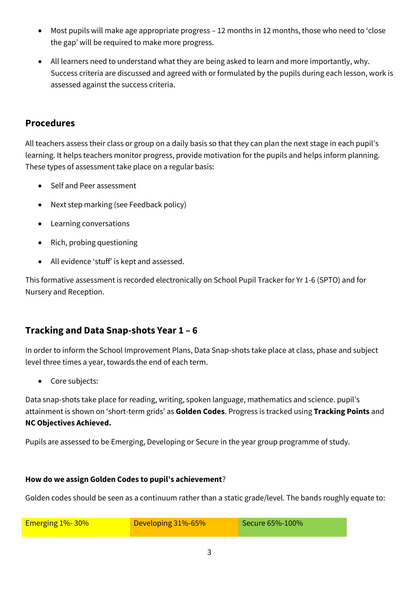- Most pupils will make age appropriate progress 12 months in 12 months, those who need to 'close the gap' will be required to make more progress.
- All learners need to understand what they are being asked to learn and more importantly, why. Success criteria are discussed and agreed with or formulated by the pupils during each lesson, work is assessed against the success criteria.

## **Procedures**

All teachers assess their class or group on a daily basis so that they can plan the next stage in each pupil's learning. It helps teachers monitor progress, provide motivation for the pupils and helps inform planning. These types of assessment take place on a regular basis:

- Self and Peer assessment
- Next step marking (see Feedback policy)
- Learning conversations
- Rich, probing questioning
- All evidence 'stuff' is kept and assessed.

This formative assessment is recorded electronically on School Pupil Tracker for Yr 1-6 (SPTO) and for Nursery and Reception.

## **Tracking and Data Snap-shots Year 1 – 6**

In order to inform the School Improvement Plans, Data Snap-shots take place at class, phase and subject level three times a year, towards the end of each term.

• Core subjects:

Data snap-shots take place for reading, writing, spoken language, mathematics and science. pupil's attainment is shown on 'short-term grids' as **Golden Codes**. Progress is tracked using **Tracking Points** and **NC Objectives Achieved.**

Pupils are assessed to be Emerging, Developing or Secure in the year group programme of study.

#### **How do we assign Golden Codes to pupil's achievement**?

Golden codes should be seen as a continuum rather than a static grade/level. The bands roughly equate to:

| Emerging $1\%$ - 30% | Developing 31%-65% | Secure 65%-100% |
|----------------------|--------------------|-----------------|
|                      |                    |                 |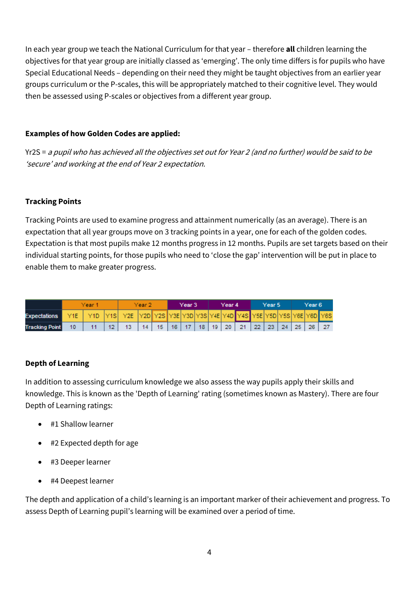In each year group we teach the National Curriculum for that year – therefore **all** children learning the objectives for that year group are initially classed as 'emerging'. The only time differs is for pupils who have Special Educational Needs – depending on their need they might be taught objectives from an earlier year groups curriculum or the P-scales, this will be appropriately matched to their cognitive level. They would then be assessed using P-scales or objectives from a different year group.

#### **Examples of how Golden Codes are applied:**

Yr2S = a pupil who has achieved all the objectives set out for Year 2 (and no further) would be said to be 'secure' and working at the end of Year 2 expectation.

#### **Tracking Points**

Tracking Points are used to examine progress and attainment numerically (as an average). There is an expectation that all year groups move on 3 tracking points in a year, one for each of the golden codes. Expectation is that most pupils make 12 months progress in 12 months. Pupils are set targets based on their individual starting points, for those pupils who need to 'close the gap' intervention will be put in place to enable them to make greater progress.

|                       | Year |  | Year 2  |                                                                     | Year 3 |                                                                | Year 4 |  |  | Year 5 |  |  | Year 6 |  |  |  |  |  |
|-----------------------|------|--|---------|---------------------------------------------------------------------|--------|----------------------------------------------------------------|--------|--|--|--------|--|--|--------|--|--|--|--|--|
| <b>Expectations</b>   |      |  |         | Y1D Y1S Y2E Y2D Y2S Y3E Y3D Y3S Y4E Y4D Y4S Y5E Y5D Y5S Y6E Y6D Y6S |        |                                                                |        |  |  |        |  |  |        |  |  |  |  |  |
| <b>Tracking Point</b> |      |  | $12-12$ | $13 -$                                                              | 14     | 15   16   17   18   19   20   21   22   23   24   25   26   27 |        |  |  |        |  |  |        |  |  |  |  |  |

#### **Depth of Learning**

In addition to assessing curriculum knowledge we also assess the way pupils apply their skills and knowledge. This is known as the 'Depth of Learning' rating (sometimes known as Mastery). There are four Depth of Learning ratings:

- #1 Shallow learner
- #2 Expected depth for age
- #3 Deeper learner
- #4 Deepest learner

The depth and application of a child's learning is an important marker of their achievement and progress. To assess Depth of Learning pupil's learning will be examined over a period of time.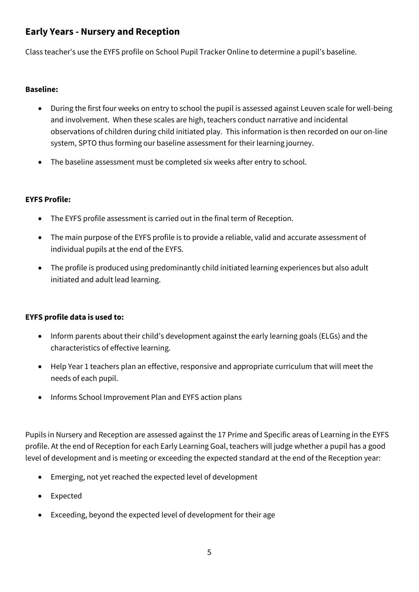## **Early Years - Nursery and Reception**

Class teacher's use the EYFS profile on School Pupil Tracker Online to determine a pupil's baseline.

#### **Baseline:**

- During the first four weeks on entry to school the pupil is assessed against Leuven scale for well-being and involvement. When these scales are high, teachers conduct narrative and incidental observations of children during child initiated play. This information is then recorded on our on-line system, SPTO thus forming our baseline assessment for their learning journey.
- The baseline assessment must be completed six weeks after entry to school.

### **EYFS Profile:**

- The EYFS profile assessment is carried out in the final term of Reception.
- The main purpose of the EYFS profile is to provide a reliable, valid and accurate assessment of individual pupils at the end of the EYFS.
- The profile is produced using predominantly child initiated learning experiences but also adult initiated and adult lead learning.

### **EYFS profile data is used to:**

- Inform parents about their child's development against the early learning goals (ELGs) and the characteristics of effective learning.
- Help Year 1 teachers plan an effective, responsive and appropriate curriculum that will meet the needs of each pupil.
- Informs School Improvement Plan and EYFS action plans

Pupils in Nursery and Reception are assessed against the 17 Prime and Specific areas of Learning in the EYFS profile. At the end of Reception for each Early Learning Goal, teachers will judge whether a pupil has a good level of development and is meeting or exceeding the expected standard at the end of the Reception year:

- Emerging, not yet reached the expected level of development
- **Expected**
- Exceeding, beyond the expected level of development for their age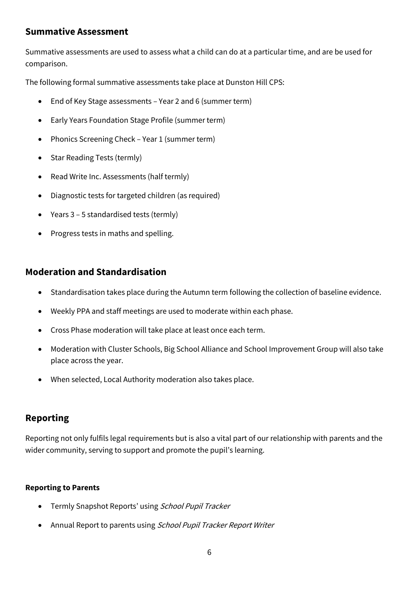## **Summative Assessment**

Summative assessments are used to assess what a child can do at a particular time, and are be used for comparison.

The following formal summative assessments take place at Dunston Hill CPS:

- End of Key Stage assessments Year 2 and 6 (summer term)
- Early Years Foundation Stage Profile (summer term)
- Phonics Screening Check Year 1 (summer term)
- Star Reading Tests (termly)
- Read Write Inc. Assessments (half termly)
- Diagnostic tests for targeted children (as required)
- Years 3 5 standardised tests (termly)
- Progress tests in maths and spelling.

## **Moderation and Standardisation**

- Standardisation takes place during the Autumn term following the collection of baseline evidence.
- Weekly PPA and staff meetings are used to moderate within each phase.
- Cross Phase moderation will take place at least once each term.
- Moderation with Cluster Schools, Big School Alliance and School Improvement Group will also take place across the year.
- When selected, Local Authority moderation also takes place.

# **Reporting**

Reporting not only fulfils legal requirements but is also a vital part of our relationship with parents and the wider community, serving to support and promote the pupil's learning.

### **Reporting to Parents**

- Termly Snapshot Reports' using School Pupil Tracker
- Annual Report to parents using School Pupil Tracker Report Writer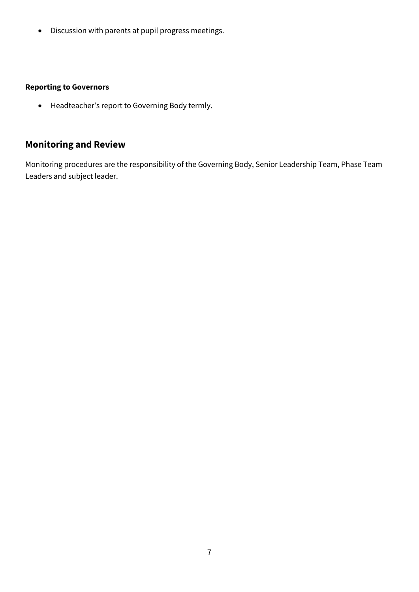• Discussion with parents at pupil progress meetings.

### **Reporting to Governors**

• Headteacher's report to Governing Body termly.

# **Monitoring and Review**

Monitoring procedures are the responsibility of the Governing Body, Senior Leadership Team, Phase Team Leaders and subject leader.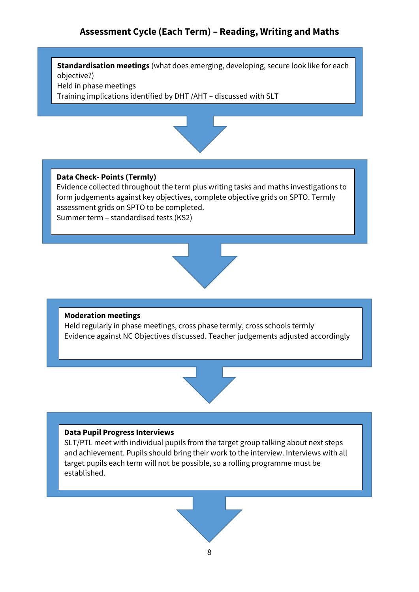## **Assessment Cycle (Each Term) – Reading, Writing and Maths**

**Standardisation meetings** (what does emerging, developing, secure look like for each objective?) Held in phase meetings

Training implications identified by DHT /AHT – discussed with SLT



#### **Data Check- Points (Termly)**

Evidence collected throughout the term plus writing tasks and maths investigations to form judgements against key objectives, complete objective grids on SPTO. Termly assessment grids on SPTO to be completed. Summer term – standardised tests (KS2)



#### **Moderation meetings**

Held regularly in phase meetings, cross phase termly, cross schools termly Evidence against NC Objectives discussed. Teacher judgements adjusted accordingly



#### **Data Pupil Progress Interviews**

SLT/PTL meet with individual pupils from the target group talking about next steps and achievement. Pupils should bring their work to the interview. Interviews with all target pupils each term will not be possible, so a rolling programme must be established.